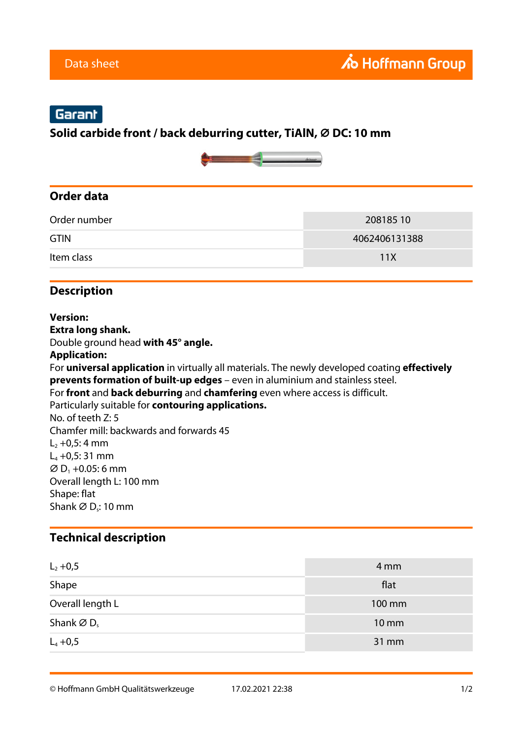# Garant

**Solid carbide front / back deburring cutter, TiAlN, ⌀ DC: 10 mm**



#### **Order data**

| Order number | 20818510      |
|--------------|---------------|
| <b>GTIN</b>  | 4062406131388 |
| Item class   | 11 X          |

#### **Description**

**Version: Extra long shank.** Double ground head **with 45° angle. Application:** For **universal application** in virtually all materials. The newly developed coating **effectively prevents formation of built-up edges** – even in aluminium and stainless steel. For **front** and **back deburring** and **chamfering** even where access is difficult. Particularly suitable for **contouring applications.** No. of teeth Z: 5 Chamfer mill: backwards and forwards 45  $L_2 + 0.5: 4$  mm  $L_4 + 0.5: 31$  mm  $\varnothing$  D<sub>1</sub> +0.05: 6 mm Overall length L: 100 mm Shape: flat Shank  $\varnothing$  D<sub>s</sub>: 10 mm

### **Technical description**

| $L_2 + 0,5$                        | 4 mm              |
|------------------------------------|-------------------|
| Shape                              | flat              |
| Overall length L                   | 100 mm            |
| Shank $\varnothing$ D <sub>s</sub> | $10 \, \text{mm}$ |
| $L_4 + 0,5$                        | 31 mm             |